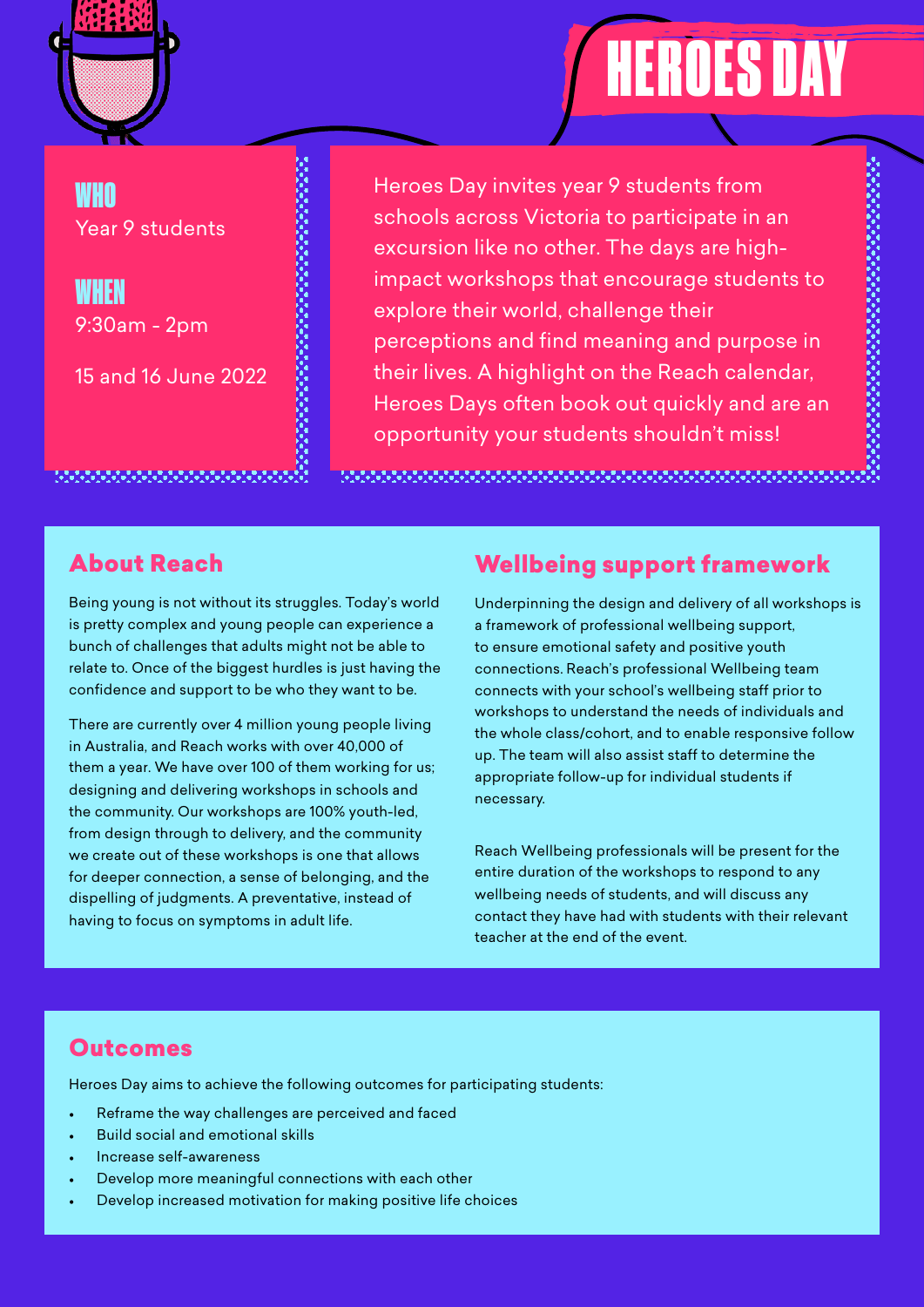

# HEROES DAY

# WHO Year 9 students

WHEN 9:30am - 2pm

15 and 16 June 2022

Heroes Day invites year 9 students from schools across Victoria to participate in an excursion like no other. The days are highimpact workshops that encourage students to explore their world, challenge their perceptions and find meaning and purpose in their lives. A highlight on the Reach calendar, Heroes Days often book out quickly and are an opportunity your students shouldn't miss!

# About Reach

Being young is not without its struggles. Today's world is pretty complex and young people can experience a bunch of challenges that adults might not be able to relate to. Once of the biggest hurdles is just having the confidence and support to be who they want to be.

There are currently over 4 million young people living in Australia, and Reach works with over 40,000 of them a year. We have over 100 of them working for us; designing and delivering workshops in schools and the community. Our workshops are 100% youth-led, from design through to delivery, and the community we create out of these workshops is one that allows for deeper connection, a sense of belonging, and the dispelling of judgments. A preventative, instead of having to focus on symptoms in adult life.

# Wellbeing support framework

Underpinning the design and delivery of all workshops is a framework of professional wellbeing support, to ensure emotional safety and positive youth connections. Reach's professional Wellbeing team connects with your school's wellbeing staff prior to workshops to understand the needs of individuals and the whole class/cohort, and to enable responsive follow up. The team will also assist staff to determine the appropriate follow-up for individual students if necessary.

Reach Wellbeing professionals will be present for the entire duration of the workshops to respond to any wellbeing needs of students, and will discuss any contact they have had with students with their relevant teacher at the end of the event.

## **Outcomes**

Heroes Day aims to achieve the following outcomes for participating students:

- Reframe the way challenges are perceived and faced
- Build social and emotional skills
- Increase self-awareness
- Develop more meaningful connections with each other
- Develop increased motivation for making positive life choices